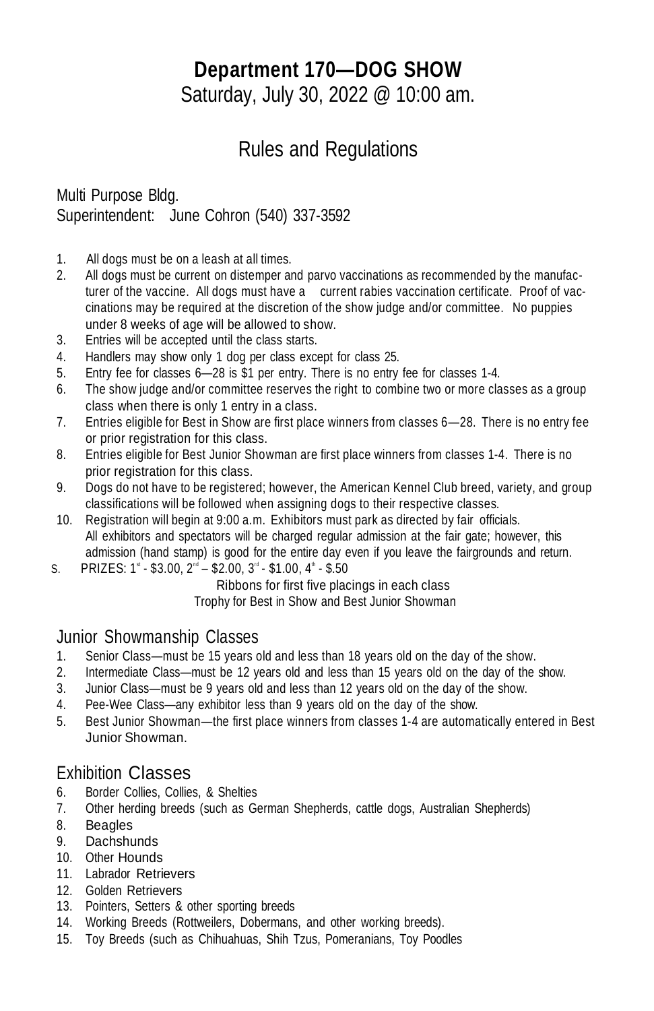# **Department 170—DOG SHOW**

Saturday, July 30, 2022 @ 10:00 am.

# Rules and Regulations

### Multi Purpose Bldg. Superintendent: June Cohron (540) 337-3592

- 1. All dogs must be on a leash at all times.
- 2. All dogs must be current on distemper and parvo vaccinations as recommended by the manufacturer of the vaccine. All dogs must have a current rabies vaccination certificate. Proof of vaccinations may be required at the discretion of the show judge and/or committee. No puppies under 8 weeks of age will be allowed to show.
- 3. Entries will be accepted until the class starts.
- 4. Handlers may show only 1 dog per class except for class 25.
- 5. Entry fee for classes 6—28 is \$1 per entry. There is no entry fee for classes 1-4.
- 6. The show judge and/or committee reserves the right to combine two or more classes as a group class when there is only 1 entry in a class.
- 7. Entries eligible for Best in Show are first place winners from classes 6—28. There is no entry fee or prior registration for this class.
- 8. Entries eligible for Best Junior Showman are first place winners from classes 1-4. There is no prior registration for this class.
- 9. Dogs do not have to be registered; however, the American Kennel Club breed, variety, and group classifications will be followed when assigning dogs to their respective classes.
- 10. Registration will begin at 9:00 a.m. Exhibitors must park as directed by fair officials. All exhibitors and spectators will be charged regular admission at the fair gate; however, this admission (hand stamp) is good for the entire day even if you leave the fairgrounds and return.
- S. PRIZES:  $1^{\text{st}}$  \$3.00,  $2^{\text{nd}}$  \$2.00,  $3^{\text{rd}}$  \$1.00,  $4^{\text{th}}$  \$.50

Ribbons for first five placings in each class

Trophy for Best in Show and Best Junior Showman

#### Junior Showmanship Classes

- 1. Senior Class—must be 15 years old and less than 18 years old on the day of the show.
- 2. Intermediate Class—must be 12 years old and less than 15 years old on the day of the show.
- 3. Junior Class—must be 9 years old and less than 12 years old on the day of the show.
- 4. Pee-Wee Class—any exhibitor less than 9 years old on the day of the show.
- 5. Best Junior Showman—the first place winners from classes 1-4 are automatically entered in Best Junior Showman.

### Exhibition Classes

- 6. Border Collies, Collies, & Shelties
- 7. Other herding breeds (such as German Shepherds, cattle dogs, Australian Shepherds)
- 8. Beagles
- 9. Dachshunds
- 10. Other Hounds
- 11. Labrador Retrievers
- 12. Golden Retrievers
- 13. Pointers, Setters & other sporting breeds
- 14. Working Breeds (Rottweilers, Dobermans, and other working breeds).
- 15. Toy Breeds (such as Chihuahuas, Shih Tzus, Pomeranians, Toy Poodles